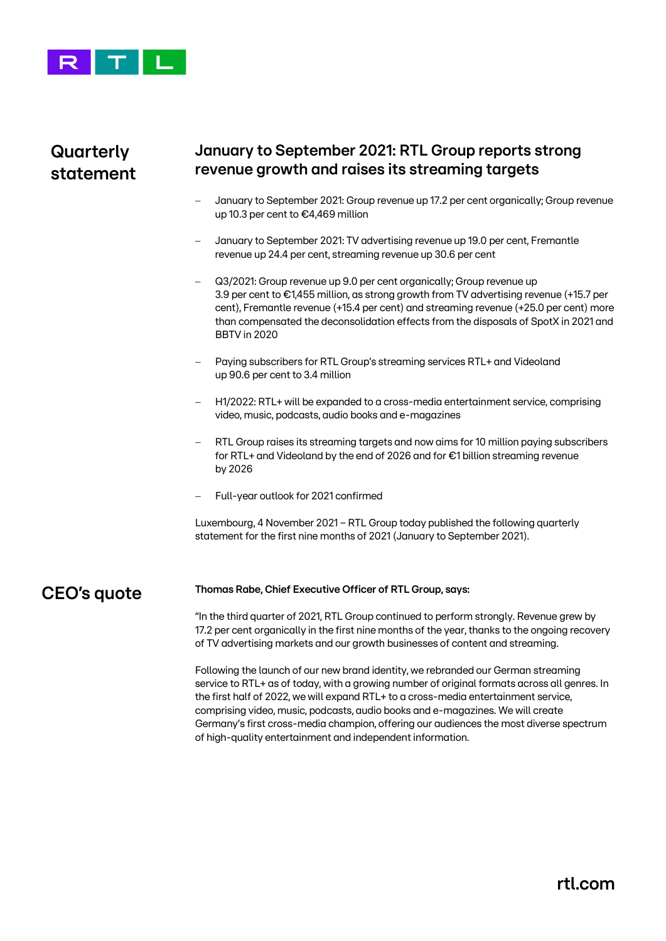

## **Quarterly statement**

### **January to September 2021: RTL Group reports strong revenue growth and raises its streaming targets**

- January to September 2021: Group revenue up 17.2 per cent organically; Group revenue up 10.3 per cent to €4,469 million
- January to September 2021: TV advertising revenue up 19.0 per cent, Fremantle revenue up 24.4 per cent, streaming revenue up 30.6 per cent
- Q3/2021: Group revenue up 9.0 per cent organically; Group revenue up 3.9 per cent to €1,455 million, as strong growth from TV advertising revenue (+15.7 per cent), Fremantle revenue (+15.4 per cent) and streaming revenue (+25.0 per cent) more than compensated the deconsolidation effects from the disposals of SpotX in 2021 and BBTV in 2020
- Paying subscribers for RTL Group's streaming services RTL+ and Videoland up 90.6 per cent to 3.4 million
- − H1/2022: RTL+ will be expanded to a cross-media entertainment service, comprising video, music, podcasts, audio books and e-magazines
- RTL Group raises its streaming targets and now aims for 10 million paying subscribers for RTL+ and Videoland by the end of 2026 and for €1 billion streaming revenue by 2026
- − Full-year outlook for 2021 confirmed

Luxembourg, 4 November 2021 − RTL Group today published the following quarterly statement for the first nine months of 2021 (January to September 2021).

**CEO's quote**

#### **Thomas Rabe, Chief Executive Officer of RTL Group, says:**

"In the third quarter of 2021, RTL Group continued to perform strongly. Revenue grew by 17.2 per cent organically in the first nine months of the year, thanks to the ongoing recovery of TV advertising markets and our growth businesses of content and streaming.

Following the launch of our new brand identity, we rebranded our German streaming service to RTL+ as of today, with a growing number of original formats across all genres. In the first half of 2022, we will expand RTL+ to a cross-media entertainment service, comprising video, music, podcasts, audio books and e-magazines. We will create Germany's first cross-media champion, offering our audiences the most diverse spectrum of high-quality entertainment and independent information.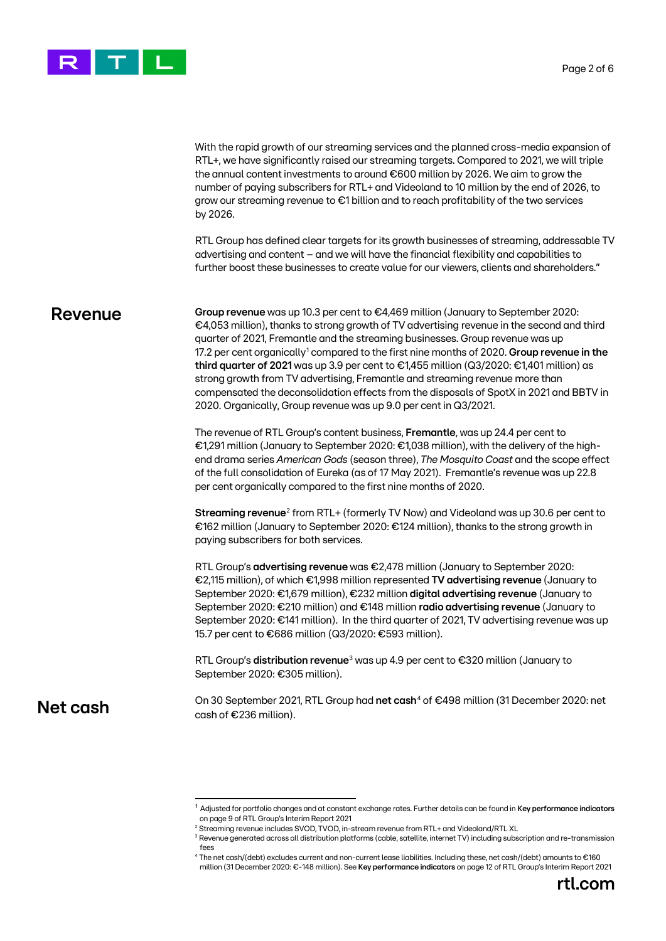

With the rapid growth of our streaming services and the planned cross-media expansion of RTL+, we have significantly raised our streaming targets. Compared to 2021, we will triple the annual content investments to around €600 million by 2026. We aim to grow the number of paying subscribers for RTL+ and Videoland to 10 million by the end of 2026, to grow our streaming revenue to €1 billion and to reach profitability of the two services by 2026.

RTL Group has defined clear targets for its growth businesses of streaming, addressable TV advertising and content – and we will have the financial flexibility and capabilities to further boost these businesses to create value for our viewers, clients and shareholders."

#### **Revenue**

**Group revenue** was up 10.3 per cent to €4,469 million (January to September 2020: €4,053 million), thanks to strong growth of TV advertising revenue in the second and third quarter of 2021, Fremantle and the streaming businesses. Group revenue was up 17.2 per cent organically[1](#page-1-0) compared to the first nine months of 2020. **Group revenue in the third quarter of 2021** was up 3.9 per cent to €1,455 million (Q3/2020: €1,401 million) as strong growth from TV advertising, Fremantle and streaming revenue more than compensated the deconsolidation effects from the disposals of SpotX in 2021 and BBTV in 2020. Organically, Group revenue was up 9.0 per cent in Q3/2021.

The revenue of RTL Group's content business, **Fremantle**, was up 24.4 per cent to €1,291 million (January to September 2020: €1,038 million), with the delivery of the highend drama series *American Gods* (season three), *The Mosquito Coast* and the scope effect of the full consolidation of Eureka (as of 17 May 2021). Fremantle's revenue was up 22.8 per cent organically compared to the first nine months of 2020.

**Streaming revenue**[2](#page-1-1) from RTL+ (formerly TV Now) and Videoland was up 30.6 per cent to €162 million (January to September 2020: €124 million), thanks to the strong growth in paying subscribers for both services.

RTL Group's **advertising revenue** was €2,478 million (January to September 2020: €2,115 million), of which €1,998 million represented **TV advertising revenue** (January to September 2020: €1,679 million), €232 million **digital advertising revenue** (January to September 2020: €210 million) and €148 million **radio advertising revenue** (January to September 2020: €141 million). In the third quarter of 2021, TV advertising revenue was up 15.7 per cent to €686 million (Q3/2020: €593 million).

RTL Group's **distribution revenue**[3](#page-1-2) was up 4.9 per cent to €320 million (January to September 2020: €305 million).

<span id="page-1-3"></span><span id="page-1-2"></span><span id="page-1-1"></span><span id="page-1-0"></span>**Net cash**

On 30 September 2021, RTL Group had **net cash**[4](#page-1-3) of €498 million (31 December 2020: net cash of €236 million).

<sup>1</sup> Adjusted for portfolio changes and at constant exchange rates. Further details can be found in **Key performance indicators** on page 9 of RTL Group's Interim Report 2021

<sup>2</sup> Streaming revenue includes SVOD, TVOD, in-stream revenue from RTL+ and Videoland/RTL XL

<sup>&</sup>lt;sup>3</sup> Revenue generated across all distribution platforms (cable, satellite, internet TV) including subscription and re-transmission fees

<sup>4</sup> The net cash/(debt) excludes current and non-current lease liabilities. Including these, net cash/(debt) amounts to €160 million (31 December 2020: €-148 million). See **Key performance indicators** on page 12 of RTL Group's Interim Report 2021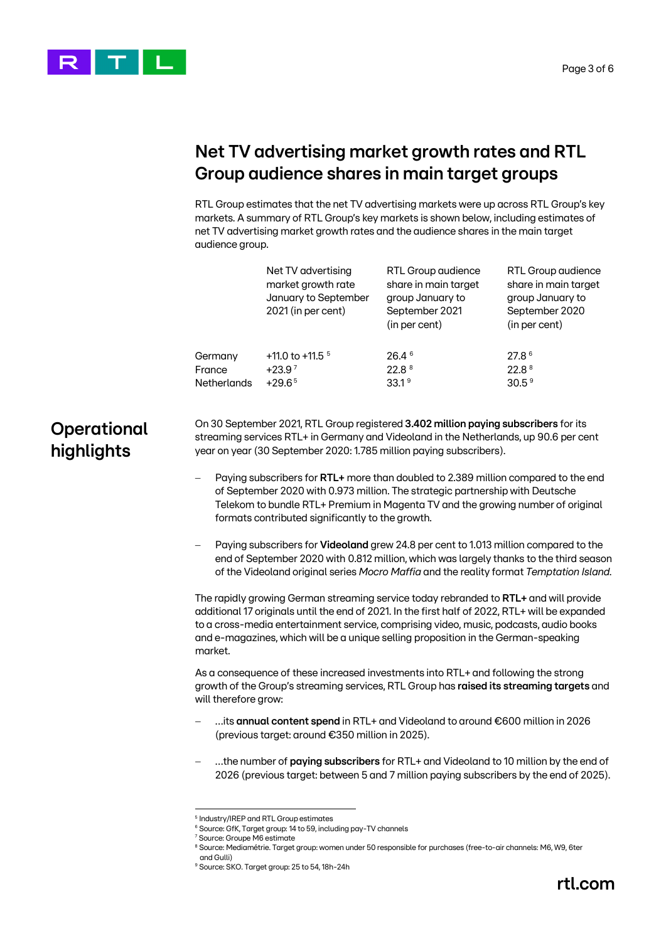



# **Net TV advertising market growth rates and RTL Group audience shares in main target groups**

RTL Group estimates that the net TV advertising markets were up across RTL Group's key markets. A summary of RTL Group's key markets is shown below, including estimates of net TV advertising market growth rates and the audience shares in the main target audience group.

|                                  |                                                                                                                                                                                                                                                                                                                                                                                     | Net TV advertising<br>market growth rate<br>January to September<br>2021 (in per cent) | RTL Group audience<br>share in main target<br>group January to<br>September 2021<br>(in per cent) | RTL Group audience<br>share in main target<br>group January to<br>September 2020<br>(in per cent) |  |  |
|----------------------------------|-------------------------------------------------------------------------------------------------------------------------------------------------------------------------------------------------------------------------------------------------------------------------------------------------------------------------------------------------------------------------------------|----------------------------------------------------------------------------------------|---------------------------------------------------------------------------------------------------|---------------------------------------------------------------------------------------------------|--|--|
|                                  | Germany<br>France<br><b>Netherlands</b>                                                                                                                                                                                                                                                                                                                                             | +11.0 to +11.5 $5$<br>$+23.97$<br>$+29.65$                                             | 26.4 6<br>22.8 8<br>33.1 <sup>9</sup>                                                             | 27.8 6<br>22.8 8<br>30.5 <sup>9</sup>                                                             |  |  |
| <b>Operational</b><br>highlights | On 30 September 2021, RTL Group registered 3.402 million paying subscribers for its<br>streaming services RTL+ in Germany and Videoland in the Netherlands, up 90.6 per cent<br>year on year (30 September 2020: 1.785 million paying subscribers).                                                                                                                                 |                                                                                        |                                                                                                   |                                                                                                   |  |  |
|                                  | Paying subscribers for RTL+ more than doubled to 2.389 million compared to the end<br>$\overline{\phantom{0}}$<br>of September 2020 with 0.973 million. The strategic partnership with Deutsche<br>Telekom to bundle RTL+ Premium in Magenta TV and the growing number of original<br>formats contributed significantly to the growth.                                              |                                                                                        |                                                                                                   |                                                                                                   |  |  |
|                                  | Paying subscribers for Videoland grew 24.8 per cent to 1.013 million compared to the<br>$\qquad \qquad -$<br>end of September 2020 with 0.812 million, which was largely thanks to the third season<br>of the Videoland original series Mocro Maffia and the reality format Temptation Island.                                                                                      |                                                                                        |                                                                                                   |                                                                                                   |  |  |
|                                  | The rapidly growing German streaming service today rebranded to RTL+ and will provide<br>additional 17 originals until the end of 2021. In the first half of 2022, RTL+ will be expanded<br>to a cross-media entertainment service, comprising video, music, podcasts, audio books<br>and e-magazines, which will be a unique selling proposition in the German-speaking<br>market. |                                                                                        |                                                                                                   |                                                                                                   |  |  |
|                                  | As a consequence of these increased investments into RTL+ and following the strong<br>growth of the Group's streaming services, RTL Group has raised its streaming targets and<br>will therefore grow:                                                                                                                                                                              |                                                                                        |                                                                                                   |                                                                                                   |  |  |
|                                  | its annual content spend in RTL+ and Videoland to around €600 million in 2026<br>(previous target: around €350 million in 2025).                                                                                                                                                                                                                                                    |                                                                                        |                                                                                                   |                                                                                                   |  |  |
|                                  | the number of paying subscribers for RTL+ and Videoland to 10 million by the end of<br>2026 (previous target: between 5 and 7 million paying subscribers by the end of 2025).                                                                                                                                                                                                       |                                                                                        |                                                                                                   |                                                                                                   |  |  |
|                                  |                                                                                                                                                                                                                                                                                                                                                                                     |                                                                                        |                                                                                                   |                                                                                                   |  |  |

<sup>5</sup> Industry/IREP and RTL Group estimates <sup>6</sup> Source: GfK, Target group: 14 to 59, including pay-TV channels

<sup>7</sup> Source: Groupe M6 estimate

<span id="page-2-4"></span><span id="page-2-3"></span><span id="page-2-2"></span><span id="page-2-1"></span><span id="page-2-0"></span><sup>&</sup>lt;sup>8</sup> Source: Mediamétrie. Target group: women under 50 responsible for purchases (free-to-air channels: M6, W9, 6ter and Gulli)

<sup>9</sup> Source: SKO. Target group: 25 to 54, 18h-24h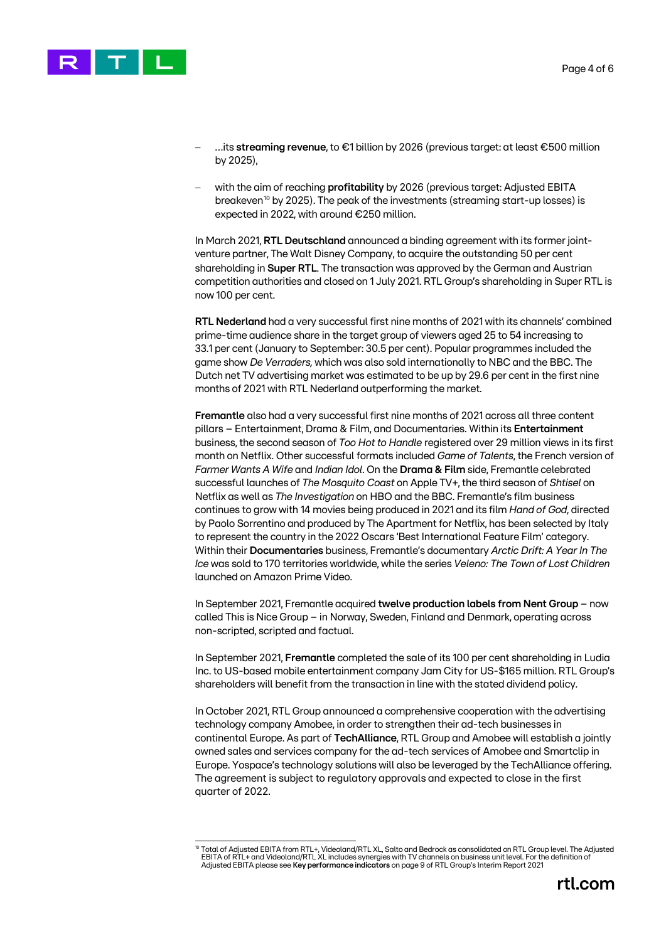

- − …its **streaming revenue**, to €1 billion by 2026 (previous target: at least €500 million by 2025),
- − with the aim of reaching **profitability** by 2026 (previous target: Adjusted EBITA breakeven[10](#page-3-0) by 2025). The peak of the investments (streaming start-up losses) is expected in 2022, with around €250 million.

In March 2021, **RTL Deutschland** announced a binding agreement with its former jointventure partner, The Walt Disney Company, to acquire the outstanding 50 per cent shareholding in **Super RTL**. The transaction was approved by the German and Austrian competition authorities and closed on 1 July 2021. RTL Group's shareholding in Super RTL is now 100 per cent.

**RTL Nederland** had a very successful first nine months of 2021 with its channels' combined prime-time audience share in the target group of viewers aged 25 to 54 increasing to 33.1 per cent (January to September: 30.5 per cent). Popular programmes included the game show *De Verraders,* which was also sold internationally to NBC and the BBC. The Dutch net TV advertising market was estimated to be up by 29.6 per cent in the first nine months of 2021 with RTL Nederland outperforming the market.

**Fremantle** also had a very successful first nine months of 2021 across all three content pillars – Entertainment, Drama & Film, and Documentaries. Within its **Entertainment** business, the second season of *Too Hot to Handle* registered over 29 million views in its first month on Netflix. Other successful formats included *Game of Talents*, the French version of *Farmer Wants A Wife* and *Indian Idol*. On the **Drama & Film** side, Fremantle celebrated successful launches of *The Mosquito Coast* on Apple TV+, the third season of *Shtisel* on Netflix as well as *The Investigation* on HBO and the BBC. Fremantle's film business continues to grow with 14 movies being produced in 2021 and its film *Hand of God*, directed by Paolo Sorrentino and produced by The Apartment for Netflix, has been selected by Italy to represent the country in the 2022 Oscars 'Best International Feature Film' category. Within their **Documentaries** business, Fremantle's documentary *Arctic Drift: A Year In The Ice* was sold to 170 territories worldwide, while the series *Veleno: The Town of Lost Children* launched on Amazon Prime Video.

In September 2021, Fremantle acquired **twelve production labels from Nent Group** – now called This is Nice Group – in Norway, Sweden, Finland and Denmark, operating across non-scripted, scripted and factual.

In September 2021, **Fremantle** completed the sale of its 100 per cent shareholding in Ludia Inc. to US-based mobile entertainment company Jam City for US-\$165 million. RTL Group's shareholders will benefit from the transaction in line with the stated dividend policy.

In October 2021, RTL Group announced a comprehensive cooperation with the advertising technology company Amobee, in order to strengthen their ad-tech businesses in continental Europe. As part of **TechAlliance**, RTL Group and Amobee will establish a jointly owned sales and services company for the ad-tech services of Amobee and Smartclip in Europe. Yospace's technology solutions will also be leveraged by the TechAlliance offering. The agreement is subject to regulatory approvals and expected to close in the first quarter of 2022.

<span id="page-3-0"></span><sup>&</sup>lt;sup>10</sup> Total of Adjusted EBITA from RTL+, Videoland/RTL XL, Salto and Bedrock as consolidated on RTL Group level. The Adjusted<br>EBITA of RTL+ and Videoland/RTL XL includes synergies with TV channels on business unit level. Fo Adjusted EBITA please see **Key performance indicators** on page 9 of RTL Group's Interim Report 2021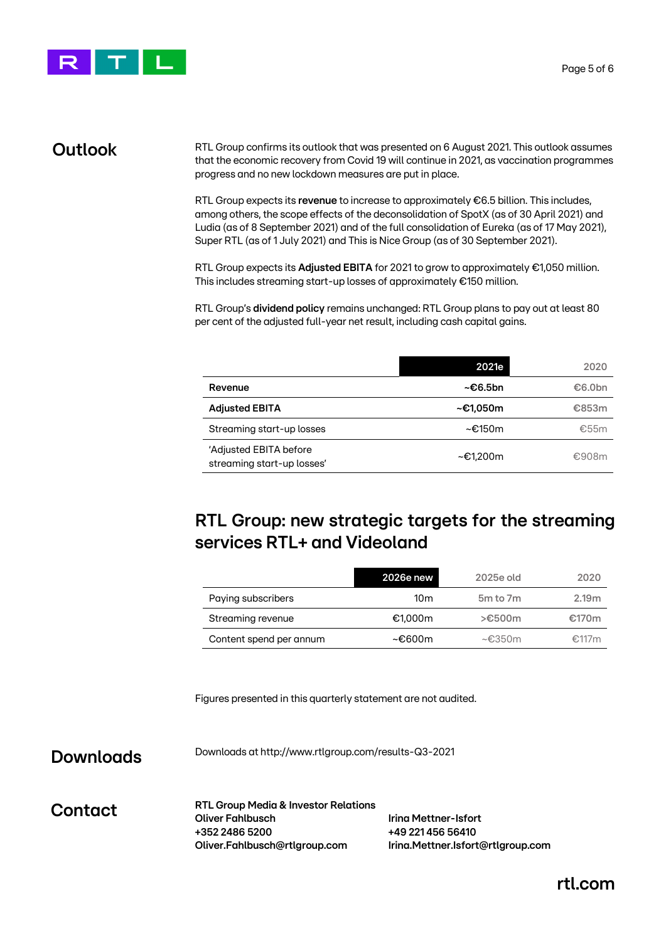

#### **Outlook**

RTL Group confirms its outlook that was presented on 6 August 2021. This outlook assumes that the economic recovery from Covid 19 will continue in 2021, as vaccination programmes progress and no new lockdown measures are put in place.

RTL Group expects its **revenue** to increase to approximately €6.5 billion. This includes, among others, the scope effects of the deconsolidation of SpotX (as of 30 April 2021) and Ludia (as of 8 September 2021) and of the full consolidation of Eureka (as of 17 May 2021), Super RTL (as of 1 July 2021) and This is Nice Group (as of 30 September 2021).

RTL Group expects its **Adjusted EBITA** for 2021 to grow to approximately €1,050 million. This includes streaming start-up losses of approximately €150 million.

RTL Group's **dividend policy** remains unchanged: RTL Group plans to pay out at least 80 per cent of the adjusted full-year net result, including cash capital gains.

|                                                      | 2021e          | 2020   |
|------------------------------------------------------|----------------|--------|
| Revenue                                              | ~€6.5bn        | €6.0bn |
| <b>Adjusted EBITA</b>                                | ~€1.050m       | €853m  |
| Streaming start-up losses                            | ~€150m         | €55m   |
| 'Adjusted EBITA before<br>streaming start-up losses' | $\sim$ €1.200m | €908m  |

## **RTL Group: new strategic targets for the streaming services RTL+ and Videoland**

|                         | 2026e new | 2025e old         | 2020              |
|-------------------------|-----------|-------------------|-------------------|
| Paying subscribers      | 10m       | 5m to 7m          | 2.19 <sub>m</sub> |
| Streaming revenue       | €1.000m   | $> \epsilon$ 500m | €170m             |
| Content spend per annum | ~€600m    | $\sim$ €350m      | €117m             |

Figures presented in this quarterly statement are not audited.

#### **Downloads**

Downloads at <http://www.rtlgroup.com/results-Q3-2021>

**Contact**

**RTL Group Media & Investor Relations Oliver Fahlbusch Irina Mettner-Isfort +352 2486 5200 +49 221 456 56410 Oliver.Fahlbusch@rtlgroup.com Irina.Mettner.Isfort@rtlgroup.com**